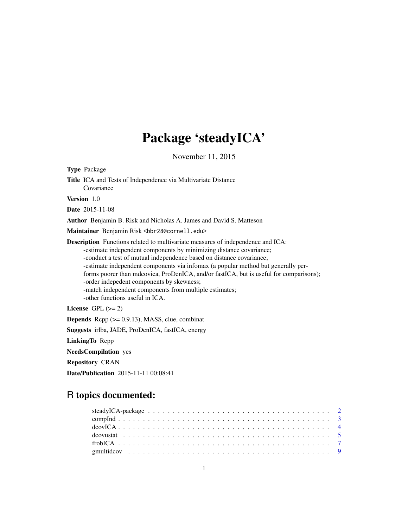## Package 'steadyICA'

November 11, 2015

<span id="page-0-0"></span>

| <b>Type Package</b>                                                                                                                                                                                                                                                                                                                                                                                                                                                                                                                                            |
|----------------------------------------------------------------------------------------------------------------------------------------------------------------------------------------------------------------------------------------------------------------------------------------------------------------------------------------------------------------------------------------------------------------------------------------------------------------------------------------------------------------------------------------------------------------|
| <b>Title</b> ICA and Tests of Independence via Multivariate Distance<br>Covariance                                                                                                                                                                                                                                                                                                                                                                                                                                                                             |
| <b>Version</b> 1.0                                                                                                                                                                                                                                                                                                                                                                                                                                                                                                                                             |
| <b>Date</b> 2015-11-08                                                                                                                                                                                                                                                                                                                                                                                                                                                                                                                                         |
| Author Benjamin B. Risk and Nicholas A. James and David S. Matteson                                                                                                                                                                                                                                                                                                                                                                                                                                                                                            |
| Maintainer Benjamin Risk <bbr28@cornell.edu></bbr28@cornell.edu>                                                                                                                                                                                                                                                                                                                                                                                                                                                                                               |
| <b>Description</b> Functions related to multivariate measures of independence and ICA:<br>-estimate independent components by minimizing distance covariance;<br>-conduct a test of mutual independence based on distance covariance;<br>-estimate independent components via infomax (a popular method but generally per-<br>forms poorer than mdcovica, ProDenICA, and/or fastICA, but is useful for comparisons);<br>-order indepedent components by skewness;<br>-match independent components from multiple estimates;<br>-other functions useful in ICA. |
| License GPL $(>= 2)$                                                                                                                                                                                                                                                                                                                                                                                                                                                                                                                                           |
| <b>Depends</b> Rcpp $(>= 0.9.13)$ , MASS, clue, combinat                                                                                                                                                                                                                                                                                                                                                                                                                                                                                                       |
| Suggests irlba, JADE, ProDenICA, fastICA, energy                                                                                                                                                                                                                                                                                                                                                                                                                                                                                                               |
| LinkingTo Repp                                                                                                                                                                                                                                                                                                                                                                                                                                                                                                                                                 |

NeedsCompilation yes

Repository CRAN

Date/Publication 2015-11-11 00:08:41

## R topics documented: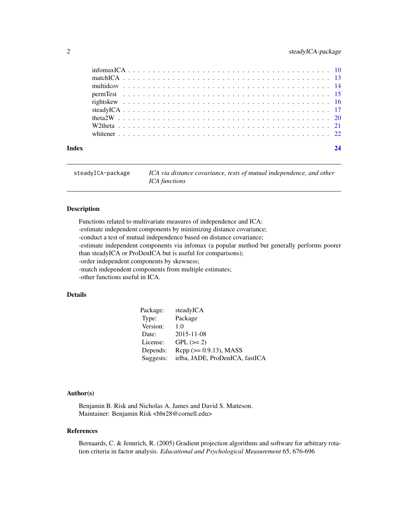<span id="page-1-0"></span>

| Index |  |  |  |  |  |  |  |  |  |  |  |  |  |  |  |  |  |  |  |  |  | 24 |
|-------|--|--|--|--|--|--|--|--|--|--|--|--|--|--|--|--|--|--|--|--|--|----|

| steadyICA-package | ICA via distance covariance, tests of mutual independence, and other |
|-------------------|----------------------------------------------------------------------|
|                   | <i>ICA functions</i>                                                 |

#### Description

Functions related to multivariate measures of independence and ICA:

-estimate independent components by minimizing distance covariance;

-conduct a test of mutual independence based on distance covariance;

-estimate independent components via infomax (a popular method but generally performs poorer

than steadyICA or ProDenICA but is useful for comparisons);

-order independent components by skewness;

-match independent components from multiple estimates;

-other functions useful in ICA.

#### Details

| Package:  | steadyICA                       |
|-----------|---------------------------------|
| Type:     | Package                         |
| Version:  | 1.0                             |
| Date:     | 2015-11-08                      |
| License:  | $GPL (=2)$                      |
| Depends:  | $Rcpp (> = 0.9.13)$ , MASS      |
| Suggests: | irlba, JADE, ProDenICA, fastICA |

#### Author(s)

Benjamin B. Risk and Nicholas A. James and David S. Matteson. Maintainer: Benjamin Risk <bbr28@cornell.edu>

#### References

Bernaards, C. & Jennrich, R. (2005) Gradient projection algorithms and software for arbitrary rotation criteria in factor analysis. *Educational and Psychological Measurement* 65, 676-696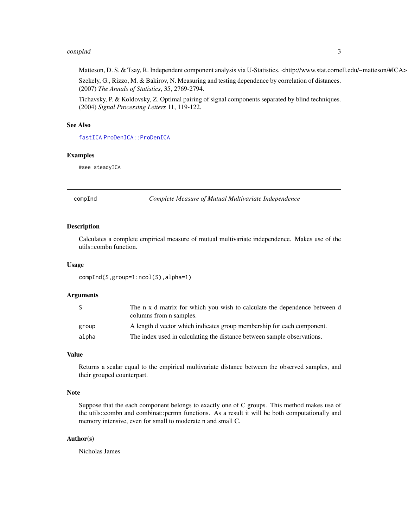#### <span id="page-2-0"></span>compInd 3

#### Matteson, D. S. & Tsay, R. Independent component analysis via U-Statistics. <http://www.stat.cornell.edu/~matteson/#ICA>

Szekely, G., Rizzo, M. & Bakirov, N. Measuring and testing dependence by correlation of distances. (2007) *The Annals of Statistics*, 35, 2769-2794.

Tichavsky, P. & Koldovsky, Z. Optimal pairing of signal components separated by blind techniques. (2004) *Signal Processing Letters* 11, 119-122.

#### See Also

[fastICA](#page-0-0) [ProDenICA::ProDenICA](#page-0-0)

#### Examples

#see steadyICA

compInd *Complete Measure of Mutual Multivariate Independence*

#### Description

Calculates a complete empirical measure of mutual multivariate independence. Makes use of the utils::combn function.

#### Usage

compInd(S,group=1:ncol(S),alpha=1)

#### Arguments

|       | The n x d matrix for which you wish to calculate the dependence between d<br>columns from n samples. |
|-------|------------------------------------------------------------------------------------------------------|
| group | A length d vector which indicates group membership for each component.                               |
| alpha | The index used in calculating the distance between sample observations.                              |

#### Value

Returns a scalar equal to the empirical multivariate distance between the observed samples, and their grouped counterpart.

#### Note

Suppose that the each component belongs to exactly one of C groups. This method makes use of the utils::combn and combinat::permn functions. As a result it will be both computationally and memory intensive, even for small to moderate n and small C.

#### Author(s)

Nicholas James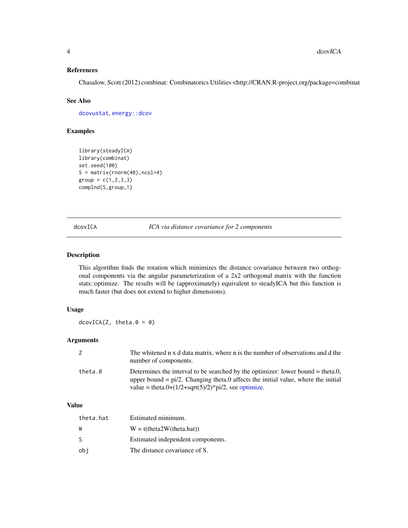#### <span id="page-3-0"></span>References

Chasalow, Scott (2012) combinat: Combinatorics Utilities <http://CRAN.R-project.org/package=combinat

#### See Also

[dcovustat](#page-4-1), [energy::dcov](#page-0-0)

#### Examples

```
library(steadyICA)
library(combinat)
set.seed(100)
S = matrix(rnorm(40), ncol=4)group = c(1, 2, 3, 3)compInd(S,group,1)
```
dcovICA *ICA via distance covariance for 2 components*

#### Description

This algorithm finds the rotation which minimizes the distance covariance between two orthogonal components via the angular parameterization of a 2x2 orthogonal matrix with the function stats::optimize. The results will be (approximately) equivalent to steadyICA but this function is much faster (but does not extend to higher dimensions).

#### Usage

 $dcovICA(Z, theta.0 = 0)$ 

#### Arguments

| 7       | The whitened n x d data matrix, where n is the number of observations and d the<br>number of components.                                                                                                                                               |
|---------|--------------------------------------------------------------------------------------------------------------------------------------------------------------------------------------------------------------------------------------------------------|
| theta.0 | Determines the interval to be searched by the optimizer: lower bound $=$ theta.0,<br>upper bound $= pi/2$ . Changing theta.0 affects the initial value, where the initial<br>value = theta.0+ $(1/2 + \sqrt{5})/2$ <sup>*</sup> $pi/2$ , see optimize. |

#### Value

| theta.hat | Estimated minimum.                |
|-----------|-----------------------------------|
| W         | $W = t$ (theta2W(theta.hat))      |
| S         | Estimated independent components. |
| obi       | The distance covariance of S.     |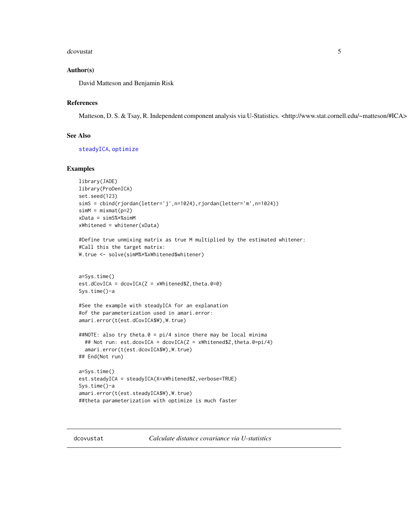#### <span id="page-4-0"></span>dcovustat 5

#### Author(s)

David Matteson and Benjamin Risk

#### References

Matteson, D. S. & Tsay, R. Independent component analysis via U-Statistics. <http://www.stat.cornell.edu/~matteson/#ICA>

#### See Also

[steadyICA](#page-16-1), [optimize](#page-0-0)

#### Examples

```
library(JADE)
library(ProDenICA)
set.seed(123)
simS = cbind(rjordan(letter='j',n=1024),rjordan(letter='m',n=1024))
simM = minemat(p=2)xData = simS%*%simM
xWhitened = whitener(xData)
#Define true unmixing matrix as true M multiplied by the estimated whitener:
#Call this the target matrix:
W.true <- solve(simM%*%xWhitened$whitener)
a=Sys.time()
est.dCovICA = dcovICA(Z = xWhitened $Z, theta. 0=0)Sys.time()-a
#See the example with steadyICA for an explanation
#of the parameterization used in amari.error:
amari.error(t(est.dCovICA$W),W.true)
##NOTE: also try theta.0 = pi/4 since there may be local minima
  ## Not run: est.dcovICA = dcovICA(Z = xWhitened$Z,theta.0=pi/4)
  amari.error(t(est.dcovICA$W),W.true)
## End(Not run)
a=Sys.time()
est.steadyICA = steadyICA(X=xWhitened$Z,verbose=TRUE)
Sys.time()-a
amari.error(t(est.steadyICA$W),W.true)
##theta parameterization with optimize is much faster
```
<span id="page-4-1"></span>dcovustat *Calculate distance covariance via U-statistics*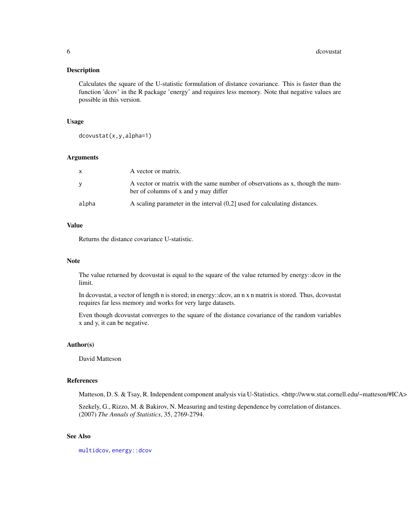#### <span id="page-5-0"></span>Description

Calculates the square of the U-statistic formulation of distance covariance. This is faster than the function 'dcov' in the R package 'energy' and requires less memory. Note that negative values are possible in this version.

#### Usage

dcovustat(x,y,alpha=1)

#### Arguments

| X     | A vector or matrix.                                                                                                   |
|-------|-----------------------------------------------------------------------------------------------------------------------|
| y     | A vector or matrix with the same number of observations as x, though the num-<br>ber of columns of x and y may differ |
| alpha | A scaling parameter in the interval $(0,2]$ used for calculating distances.                                           |

#### Value

Returns the distance covariance U-statistic.

#### Note

The value returned by dcovustat is equal to the square of the value returned by energy::dcov in the limit.

In dcovustat, a vector of length n is stored; in energy::dcov, an n x n matrix is stored. Thus, dcovustat requires far less memory and works for very large datasets.

Even though dcovustat converges to the square of the distance covariance of the random variables x and y, it can be negative.

#### Author(s)

David Matteson

#### References

Matteson, D. S. & Tsay, R. Independent component analysis via U-Statistics. <http://www.stat.cornell.edu/~matteson/#ICA>

Szekely, G., Rizzo, M. & Bakirov, N. Measuring and testing dependence by correlation of distances. (2007) *The Annals of Statistics*, 35, 2769-2794.

#### See Also

[multidcov](#page-13-1), [energy::dcov](#page-0-0)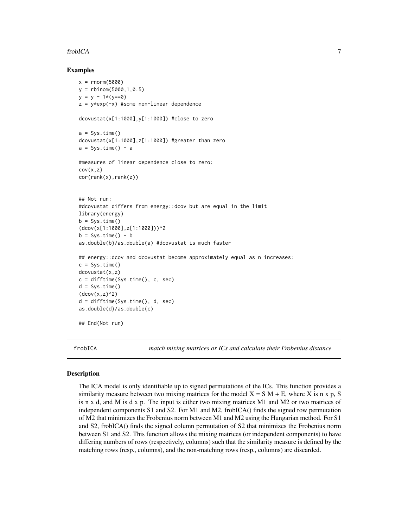#### <span id="page-6-0"></span>frobICA 7

#### Examples

```
x = rnorm(5000)y = rbinom(5000,1,0.5)
y = y - 1*(y == 0)z = y*exp(-x) #some non-linear dependence
dcovustat(x[1:1000],y[1:1000]) #close to zero
a = Sys.time()dcovustat(x[1:1000],z[1:1000]) #greater than zero
a = Sys.time() - a#measures of linear dependence close to zero:
cov(x,z)cor(rank(x),rank(z))
## Not run:
#dcovustat differs from energy::dcov but are equal in the limit
library(energy)
b = Sys.time()(dcov(x[1:1000],z[1:1000]))^2
b = Sys.time() - bas.double(b)/as.double(a) #dcovustat is much faster
## energy::dcov and dcovustat become approximately equal as n increases:
c = Sys.time()dcovustat(x,z)
c = difftime(Sys.time(), c, sec)
d = Sys.time()(dcov(x,z)^2)d = difftime(Sys.time(), d, sec)
as.double(d)/as.double(c)
## End(Not run)
```
<span id="page-6-1"></span>

frobICA *match mixing matrices or ICs and calculate their Frobenius distance*

#### Description

The ICA model is only identifiable up to signed permutations of the ICs. This function provides a similarity measure between two mixing matrices for the model  $X = S M + E$ , where X is n x p, S is n x d, and M is d x p. The input is either two mixing matrices M1 and M2 or two matrices of independent components S1 and S2. For M1 and M2, frobICA() finds the signed row permutation of M2 that minimizes the Frobenius norm between M1 and M2 using the Hungarian method. For S1 and S2, frobICA() finds the signed column permutation of S2 that minimizes the Frobenius norm between S1 and S2. This function allows the mixing matrices (or independent components) to have differing numbers of rows (respectively, columns) such that the similarity measure is defined by the matching rows (resp., columns), and the non-matching rows (resp., columns) are discarded.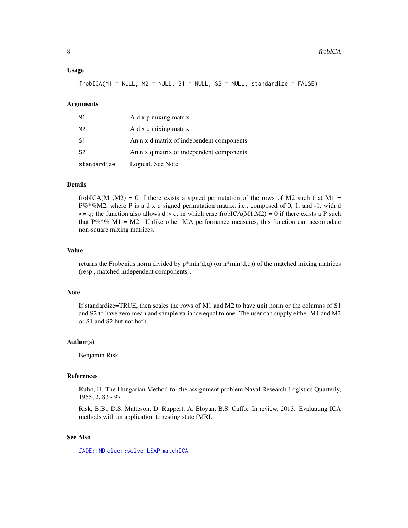#### <span id="page-7-0"></span>Usage

 $frobICA(M1 = NULL, M2 = NULL, S1 = NULL, S2 = NULL, standardize = FALSE)$ 

#### Arguments

| M1             | A d x p mixing matrix                     |
|----------------|-------------------------------------------|
| M <sub>2</sub> | A d x q mixing matrix                     |
| S1             | An n x d matrix of independent components |
| S <sub>2</sub> | An n x q matrix of independent components |
| standardize    | Logical. See Note.                        |

#### Details

frobICA(M1,M2) = 0 if there exists a signed permutation of the rows of M2 such that M1 =  $P\%^* \% M2$ , where P is a d x q signed permutation matrix, i.e., composed of 0, 1, and -1, with d  $\leq$  q; the function also allows d > q, in which case frobICA(M1,M2) = 0 if there exists a P such that  $P\%^*\%$  M1 = M2. Unlike other ICA performance measures, this function can accomodate non-square mixing matrices.

#### Value

returns the Frobenius norm divided by  $p^*min(d,q)$  (or  $n^*min(d,q)$ ) of the matched mixing matrices (resp., matched independent components).

#### Note

If standardize=TRUE, then scales the rows of M1 and M2 to have unit norm or the columns of S1 and S2 to have zero mean and sample variance equal to one. The user can supply either M1 and M2 or S1 and S2 but not both.

#### Author(s)

Benjamin Risk

#### References

Kuhn, H. The Hungarian Method for the assignment problem Naval Research Logistics Quarterly, 1955, 2, 83 - 97

Risk, B.B., D.S. Matteson, D. Ruppert, A. Eloyan, B.S. Caffo. In review, 2013. Evaluating ICA methods with an application to resting state fMRI.

#### See Also

[JADE::MD](#page-0-0) [clue::solve\\_LSAP](#page-0-0) [matchICA](#page-12-1)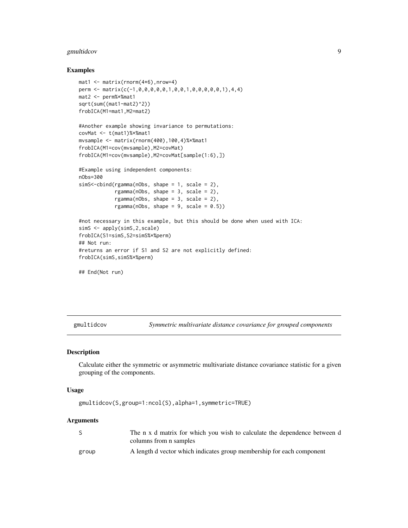#### <span id="page-8-0"></span>gmultidcov 9

#### Examples

```
mat1 < - matrix( {rnorm(4*6)}, nrow=4)perm <- matrix(c(-1,0,0,0,0,0,1,0,0,1,0,0,0,0,0,1),4,4)
mat2 <- perm%*%mat1
sqrt(sum((mat1-mat2)^2))
frobICA(M1=mat1,M2=mat2)
#Another example showing invariance to permutations:
covMat <- t(mat1)%*%mat1
mvsample <- matrix(rnorm(400),100,4)%*%mat1
frobICA(M1=cov(mvsample),M2=covMat)
frobICA(M1=cov(mvsample),M2=covMat[sample(1:6),])
#Example using independent components:
nObs=300
simS<-cbind(rgamma(nObs, shape = 1, scale = 2),
            rgamma(nObs, shape = 3, scale = 2),
            rgamma(nObs, shape = 3, scale = 2),
            rgamma(nObs, shape = 9, scale = 0.5))
#not necessary in this example, but this should be done when used with ICA:
simS <- apply(simS,2,scale)
frobICA(S1=simS,S2=simS%*%perm)
## Not run:
#returns an error if S1 and S2 are not explicitly defined:
frobICA(simS,simS%*%perm)
```

```
## End(Not run)
```
gmultidcov *Symmetric multivariate distance covariance for grouped components*

#### Description

Calculate either the symmetric or asymmetric multivariate distance covariance statistic for a given grouping of the components.

#### Usage

gmultidcov(S,group=1:ncol(S),alpha=1,symmetric=TRUE)

#### Arguments

|       | The n x d matrix for which you wish to calculate the dependence between d<br>columns from n samples |
|-------|-----------------------------------------------------------------------------------------------------|
| group | A length d vector which indicates group membership for each component                               |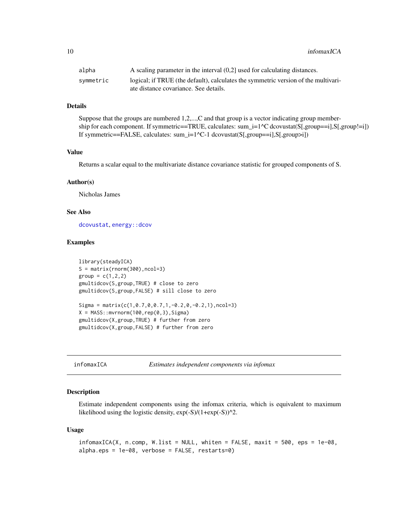<span id="page-9-0"></span>10 infomaxICA

| alpha     | A scaling parameter in the interval $(0,2]$ used for calculating distances.                                                 |
|-----------|-----------------------------------------------------------------------------------------------------------------------------|
| symmetric | logical; if TRUE (the default), calculates the symmetric version of the multivari-<br>ate distance covariance. See details. |

#### Details

Suppose that the groups are numbered 1,2,...,C and that group is a vector indicating group membership for each component. If symmetric==TRUE, calculates: sum\_i=1^C dcovustat(S[,group==i],S[,group!=i]) If symmetric==FALSE, calculates: sum\_i=1^C-1 dcovustat(S[,group==i],S[,group>i])

#### Value

Returns a scalar equal to the multivariate distance covariance statistic for grouped components of S.

#### Author(s)

Nicholas James

#### See Also

[dcovustat](#page-4-1), [energy::dcov](#page-0-0)

#### Examples

```
library(steadyICA)
S = matrix(rnorm(300), ncol=3)group = c(1, 2, 2)gmultidcov(S,group,TRUE) # close to zero
gmultidcov(S,group,FALSE) # sill close to zero
Sigma = matrix(c(1, 0.7, 0, 0.7, 1, -0.2, 0, -0.2, 1), ncol=3)X = MASS::mvrnorm(100, rep(0,3), Sigma)gmultidcov(X,group,TRUE) # further from zero
gmultidcov(X,group,FALSE) # further from zero
```
infomaxICA *Estimates independent components via infomax*

#### Description

Estimate independent components using the infomax criteria, which is equivalent to maximum likelihood using the logistic density,  $exp(-S)/(1+exp(-S))$ <sup>2</sup>.

#### Usage

```
infomaxICA(X, n.comp, W.list = NULL, which = FALSE, maxit = 500, eps = 1e-08,alpha.eps = 1e-08, verbose = FALSE, restarts=0)
```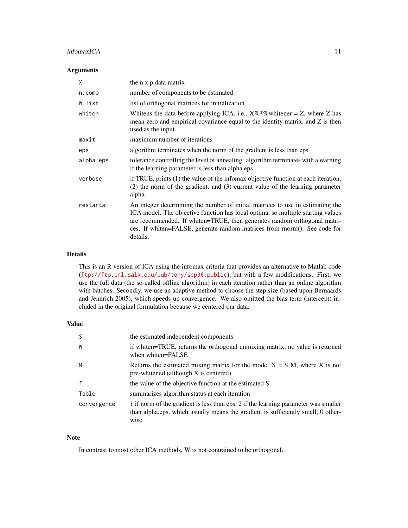#### $informa XCA$  11

#### Arguments

| X         | the n x p data matrix                                                                                                                                                                                                                                                                                                                  |
|-----------|----------------------------------------------------------------------------------------------------------------------------------------------------------------------------------------------------------------------------------------------------------------------------------------------------------------------------------------|
| n.comp    | number of components to be estimated                                                                                                                                                                                                                                                                                                   |
| W.list    | list of orthogonal matrices for initialization                                                                                                                                                                                                                                                                                         |
| whiten    | Whitens the data before applying ICA, i.e., $X\%*\%$ whitener = Z, where Z has<br>mean zero and empirical covariance equal to the identity matrix, and Z is then<br>used as the input.                                                                                                                                                 |
| maxit     | maximum number of iterations                                                                                                                                                                                                                                                                                                           |
| eps       | algorithm terminates when the norm of the gradient is less than eps                                                                                                                                                                                                                                                                    |
| alpha.eps | tolerance controlling the level of annealing: algorithm terminates with a warning<br>if the learning parameter is less than alpha.eps                                                                                                                                                                                                  |
| verbose   | if TRUE, prints (1) the value of the infomax objective function at each iteration,<br>$(2)$ the norm of the gradient, and $(3)$ current value of the learning parameter<br>alpha.                                                                                                                                                      |
| restarts  | An integer determining the number of initial matrices to use in estimating the<br>ICA model. The objective function has local optima, so multiple starting values<br>are recommended. If whiten=TRUE, then generates random orthogonal matri-<br>ces. If whiten=FALSE, generate random matrices from rnorm(). See code for<br>details. |

#### Details

This is an R version of ICA using the infomax criteria that provides an alternative to Matlab code (<ftp://ftp.cnl.salk.edu/pub/tony/sep96.public>), but with a few modifications. First, we use the full data (the so-called offline algorithm) in each iteration rather than an online algorithm with batches. Secondly, we use an adaptive method to choose the step size (based upon Bernaards and Jennrich 2005), which speeds up convergence. We also omitted the bias term (intercept) included in the original formulation because we centered our data.

#### Value

| S           | the estimated independent components                                                                                                                                            |
|-------------|---------------------------------------------------------------------------------------------------------------------------------------------------------------------------------|
| W           | if whiten=TRUE, returns the orthogonal unmixing matrix; no value is returned<br>when whiten=FALSE                                                                               |
| M           | Returns the estimated mixing matrix for the model $X = S M$ , where X is not<br>pre-whitened (although X is centered)                                                           |
| f           | the value of the objective function at the estimated S                                                                                                                          |
| Table       | summarizes algorithm status at each iteration                                                                                                                                   |
| convergence | 1 if norm of the gradient is less than eps, 2 if the learning parameter was smaller<br>than alpha.eps, which usually means the gradient is sufficiently small, 0 other-<br>wise |

#### Note

In contrast to most other ICA methods, W is not contrained to be orthogonal.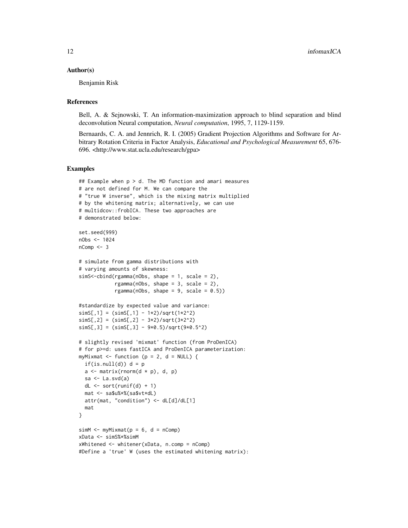#### Author(s)

Benjamin Risk

#### References

Bell, A. & Sejnowski, T. An information-maximization approach to blind separation and blind deconvolution Neural computation, *Neural computation*, 1995, 7, 1129-1159.

Bernaards, C. A. and Jennrich, R. I. (2005) Gradient Projection Algorithms and Software for Arbitrary Rotation Criteria in Factor Analysis, *Educational and Psychological Measurement* 65, 676- 696. <http://www.stat.ucla.edu/research/gpa>

#### Examples

```
## Example when p > d. The MD function and amari measures
# are not defined for M. We can compare the
# "true W inverse", which is the mixing matrix multiplied
# by the whitening matrix; alternatively, we can use
# multidcov::frobICA. These two approaches are
# demonstrated below:
set.seed(999)
nObs <- 1024
nComp < -3# simulate from gamma distributions with
# varying amounts of skewness:
simS<-cbind(rgamma(nObs, shape = 1, scale = 2),
            rgamma(nObs, shape = 3, scale = 2),
            rgamma(nObs, shape = 9, scale = 0.5))
#standardize by expected value and variance:
simS[, 1] = (simS[, 1] - 1*2)/sqrt(1*2^2)simS[, 2] = (simS[, 2] - 3*2)/sqrt(3*2^2)simS[, 3] = (simS[, 3] - 9*0.5)/sqrt(9*0.5^2)# slightly revised 'mixmat' function (from ProDenICA)
# for p>=d: uses fastICA and ProDenICA parameterization:
myMixmat <- function (p = 2, d = NULL) {
  if(is.null(d)) d = pa \leftarrow matrix(rnorm(d * p), d, p)sa \leftarrow La.svd(a)dL \le sort(runif(d) + 1)
  mat <- sa$u%*%(sa$vt*dL)
  attr(mat, "condition") <- dL[d]/dL[1]
  mat
}
simM \leq myMixmat(p = 6, d = nComp)
xData <- simS%*%simM
xWhitened <- whitener(xData, n.comp = nComp)
#Define a 'true' W (uses the estimated whitening matrix):
```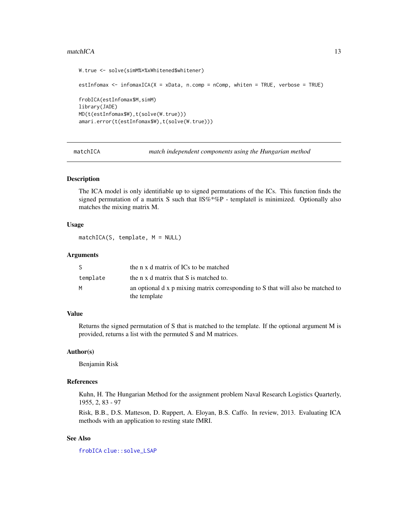#### <span id="page-12-0"></span>matchICA 13

```
W.true <- solve(simM%*%xWhitened$whitener)
estInfomax <- infomaxICA(X = xData, n.comp = nComp, whiten = TRUE, verbose = TRUE)
frobICA(estInfomax$M,simM)
library(JADE)
MD(t(estInfomax$W),t(solve(W.true)))
amari.error(t(estInfomax$W),t(solve(W.true)))
```
<span id="page-12-1"></span>matchICA *match independent components using the Hungarian method*

#### Description

The ICA model is only identifiable up to signed permutations of the ICs. This function finds the signed permutation of a matrix S such that  $\text{IIS}\%^*\%\text{P}$  - templatell is minimized. Optionally also matches the mixing matrix M.

#### Usage

```
matchICA(S, template, M = NULL)
```
#### Arguments

|          | the n x d matrix of ICs to be matched                                                           |
|----------|-------------------------------------------------------------------------------------------------|
| template | the n x d matrix that S is matched to.                                                          |
| м        | an optional d x p mixing matrix corresponding to S that will also be matched to<br>the template |

#### Value

Returns the signed permutation of S that is matched to the template. If the optional argument M is provided, returns a list with the permuted S and M matrices.

#### Author(s)

Benjamin Risk

#### References

Kuhn, H. The Hungarian Method for the assignment problem Naval Research Logistics Quarterly, 1955, 2, 83 - 97

Risk, B.B., D.S. Matteson, D. Ruppert, A. Eloyan, B.S. Caffo. In review, 2013. Evaluating ICA methods with an application to resting state fMRI.

#### See Also

[frobICA](#page-6-1) [clue::solve\\_LSAP](#page-0-0)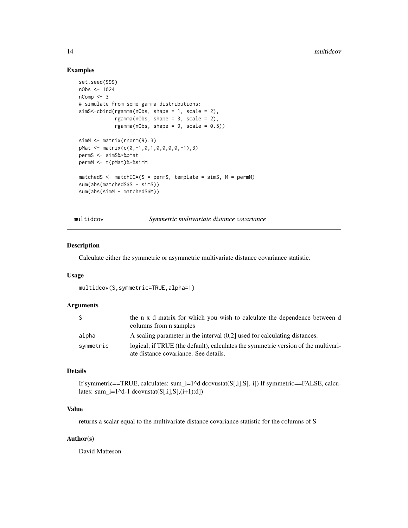#### Examples

```
set.seed(999)
nObs <- 1024
nComp < -3# simulate from some gamma distributions:
simS<-cbind(rgamma(nObs, shape = 1, scale = 2),
            rgamma(nObs, shape = 3, scale = 2),
            rgamma(nObs, shape = 9, scale = 0.5))
simM <- matrix(rnorm(9),3)
pMat <- matrix(c(0,-1,0,1,0,0,0,0,-1),3)
permS <- simS%*%pMat
permM <- t(pMat)%*%simM
matchedS \leq matchICA(S = permS, template = simS, M = permM)
sum(abs(matchedS$S - simS))
sum(abs(simM - matchedS$M))
```
<span id="page-13-1"></span>multidcov *Symmetric multivariate distance covariance*

#### Description

Calculate either the symmetric or asymmetric multivariate distance covariance statistic.

#### Usage

```
multidcov(S,symmetric=TRUE,alpha=1)
```
#### Arguments

| <sub>S</sub> | the n x d matrix for which you wish to calculate the dependence between d<br>columns from n samples                         |
|--------------|-----------------------------------------------------------------------------------------------------------------------------|
| alpha        | A scaling parameter in the interval $(0,2]$ used for calculating distances.                                                 |
| symmetric    | logical; if TRUE (the default), calculates the symmetric version of the multivari-<br>ate distance covariance. See details. |

#### Details

If symmetric==TRUE, calculates: sum\_i=1^d dcovustat( $S[i,j,S[-i])$  If symmetric==FALSE, calculates: sum\_i=1^d-1 dcovustat( $S[i, j]$ , $S[(i+1):d]$ )

#### Value

returns a scalar equal to the multivariate distance covariance statistic for the columns of S

#### Author(s)

David Matteson

<span id="page-13-0"></span>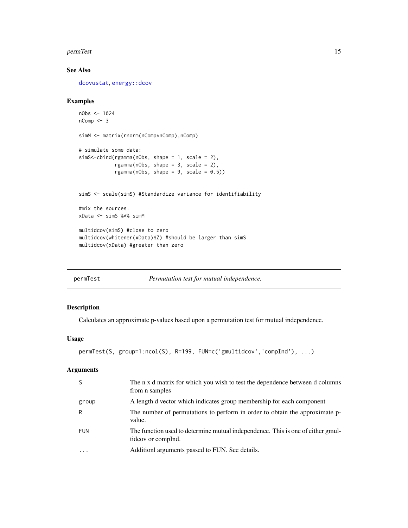#### <span id="page-14-0"></span>permTest 15

#### See Also

[dcovustat](#page-4-1), [energy::dcov](#page-0-0)

#### Examples

```
nObs <- 1024
nComp < -3simM <- matrix(rnorm(nComp*nComp),nComp)
# simulate some data:
simS<-cbind(rgamma(nObs, shape = 1, scale = 2),
            rgamma(nObs, shape = 3, scale = 2),
            rgamma(nObs, shape = 9, scale = 0.5))
simS <- scale(simS) #Standardize variance for identifiability
#mix the sources:
xData <- simS %*% simM
multidcov(simS) #close to zero
multidcov(whitener(xData)$Z) #should be larger than simS
multidcov(xData) #greater than zero
```

| permlest |  |
|----------|--|
|          |  |

*Permutation test for mutual independence.* 

#### Description

Calculates an approximate p-values based upon a permutation test for mutual independence.

#### Usage

```
permTest(S, group=1:ncol(S), R=199, FUN=c('gmultidcov','compInd'), ...)
```
#### Arguments

| -S         | The n x d matrix for which you wish to test the dependence between d columns<br>from n samples        |
|------------|-------------------------------------------------------------------------------------------------------|
| group      | A length d vector which indicates group membership for each component                                 |
| R          | The number of permutations to perform in order to obtain the approximate p-<br>value.                 |
| <b>FUN</b> | The function used to determine mutual independence. This is one of either gmul-<br>tideov or compled. |
|            | Additionl arguments passed to FUN. See details.                                                       |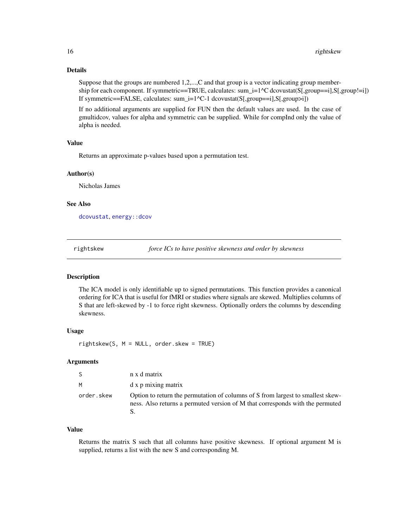#### <span id="page-15-0"></span>Details

Suppose that the groups are numbered 1,2,...,C and that group is a vector indicating group membership for each component. If symmetric==TRUE, calculates: sum\_i=1^C dcovustat(S[,group==i],S[,group!=i]) If symmetric==FALSE, calculates: sum\_i=1^C-1 dcovustat(S[,group==i],S[,group>i])

If no additional arguments are supplied for FUN then the default values are used. In the case of gmultidcov, values for alpha and symmetric can be supplied. While for compInd only the value of alpha is needed.

#### Value

Returns an approximate p-values based upon a permutation test.

#### Author(s)

Nicholas James

#### See Also

[dcovustat](#page-4-1), [energy::dcov](#page-0-0)

rightskew *force ICs to have positive skewness and order by skewness*

#### Description

The ICA model is only identifiable up to signed permutations. This function provides a canonical ordering for ICA that is useful for fMRI or studies where signals are skewed. Multiplies columns of S that are left-skewed by -1 to force right skewness. Optionally orders the columns by descending skewness.

#### Usage

rightskew(S, M = NULL, order.skew = TRUE)

#### Arguments

| -S         | n x d matrix                                                                                                                                                     |
|------------|------------------------------------------------------------------------------------------------------------------------------------------------------------------|
| M          | d x p mixing matrix                                                                                                                                              |
| order.skew | Option to return the permutation of columns of S from largest to smallest skew-<br>ness. Also returns a permuted version of M that corresponds with the permuted |

#### Value

Returns the matrix S such that all columns have positive skewness. If optional argument M is supplied, returns a list with the new S and corresponding M.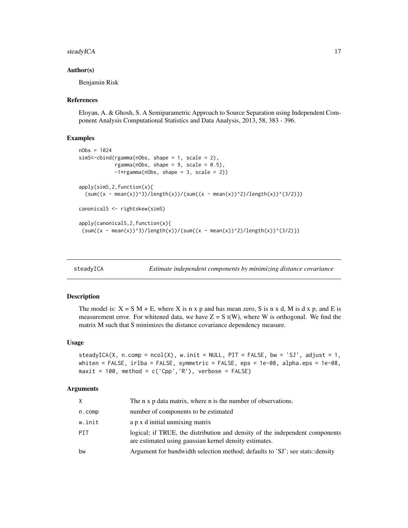#### <span id="page-16-0"></span>steadyICA 17

#### Author(s)

Benjamin Risk

#### References

Eloyan, A. & Ghosh, S. A Semiparametric Approach to Source Separation using Independent Component Analysis Computational Statistics and Data Analysis, 2013, 58, 383 - 396.

#### Examples

```
nObs = 1024simS<-cbind(rgamma(nObs, shape = 1, scale = 2),
           rgamma(nObs, shape = 9, scale = 0.5),
           -1*rgamma(nObs, shape = 3, scale = 2)apply(simS,2,function(x){
  (sum((x - mean(x))^3) / length(x))/(sum((x - mean(x))^2) / length(x))^2)canonicalS <- rightskew(simS)
apply(canonicalS,2,function(x){
 (sum((x - mean(x))^3) / length(x))/(sum((x - mean(x))^2) / length(x))^2)
```
<span id="page-16-1"></span>

steadyICA *Estimate independent components by minimizing distance covariance*

#### Description

The model is:  $X = S M + E$ , where X is n x p and has mean zero, S is n x d, M is d x p, and E is measurement error. For whitened data, we have  $Z = S t(W)$ , where W is orthogonal. We find the matrix M such that S minimizes the distance covariance dependency measure.

#### Usage

steadyICA(X, n.comp =  $ncol(X)$ , w.init = NULL, PIT = FALSE, bw = 'SJ', adjust = 1, whiten = FALSE, irlba = FALSE, symmetric = FALSE, eps = 1e-08, alpha.eps = 1e-08,  $maxit = 100$ , method = c('Cpp','R'), verbose = FALSE)

#### Arguments

| X      | The n x p data matrix, where n is the number of observations.                                                                          |
|--------|----------------------------------------------------------------------------------------------------------------------------------------|
| n.comp | number of components to be estimated                                                                                                   |
| w.init | a p x d initial unmixing matrix                                                                                                        |
| PTT    | logical; if TRUE, the distribution and density of the independent components<br>are estimated using gaussian kernel density estimates. |
| bw     | Argument for bandwidth selection method; defaults to 'SJ'; see stats::density                                                          |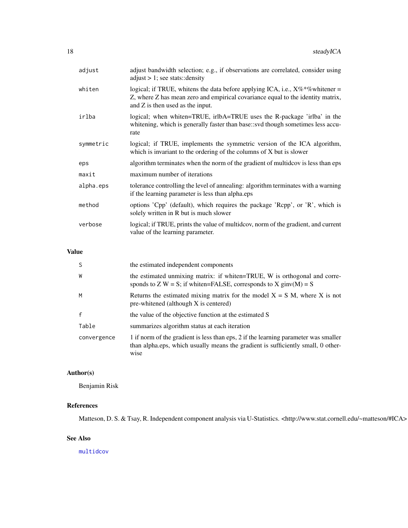<span id="page-17-0"></span>

| adjust    | adjust bandwidth selection; e.g., if observations are correlated, consider using<br>$adjust > 1$ ; see stats::density                                                                                    |
|-----------|----------------------------------------------------------------------------------------------------------------------------------------------------------------------------------------------------------|
| whiten    | logical; if TRUE, whitens the data before applying ICA, i.e., $X\%*\%$ whitener =<br>Z, where Z has mean zero and empirical covariance equal to the identity matrix,<br>and Z is then used as the input. |
| irlba     | logical; when whiten=TRUE, irlbA=TRUE uses the R-package 'irlba' in the<br>whitening, which is generally faster than base: svd though sometimes less accu-<br>rate                                       |
| symmetric | logical; if TRUE, implements the symmetric version of the ICA algorithm,<br>which is invariant to the ordering of the columns of X but is slower                                                         |
| eps       | algorithm terminates when the norm of the gradient of multidcov is less than eps                                                                                                                         |
| maxit     | maximum number of iterations                                                                                                                                                                             |
| alpha.eps | tolerance controlling the level of annealing: algorithm terminates with a warning<br>if the learning parameter is less than alpha.eps                                                                    |
| method    | options 'Cpp' (default), which requires the package 'Rcpp', or 'R', which is<br>solely written in R but is much slower                                                                                   |
| verbose   | logical; if TRUE, prints the value of multidcov, norm of the gradient, and current<br>value of the learning parameter.                                                                                   |
|           |                                                                                                                                                                                                          |

#### Value

| <sub>S</sub> | the estimated independent components                                                                                                                                            |
|--------------|---------------------------------------------------------------------------------------------------------------------------------------------------------------------------------|
| W            | the estimated unmixing matrix: if whiten=TRUE, W is orthogonal and corre-<br>sponds to Z W = S; if whiten=FALSE, corresponds to X ginv(M) = S                                   |
| M            | Returns the estimated mixing matrix for the model $X = S M$ , where X is not<br>pre-whitened (although X is centered)                                                           |
| $\mathsf{f}$ | the value of the objective function at the estimated S                                                                                                                          |
| Table        | summarizes algorithm status at each iteration                                                                                                                                   |
| convergence  | 1 if norm of the gradient is less than eps, 2 if the learning parameter was smaller<br>than alpha.eps, which usually means the gradient is sufficiently small, 0 other-<br>wise |

### Author(s)

Benjamin Risk

### References

Matteson, D. S. & Tsay, R. Independent component analysis via U-Statistics. <http://www.stat.cornell.edu/~matteson/#ICA>

#### See Also

[multidcov](#page-13-1)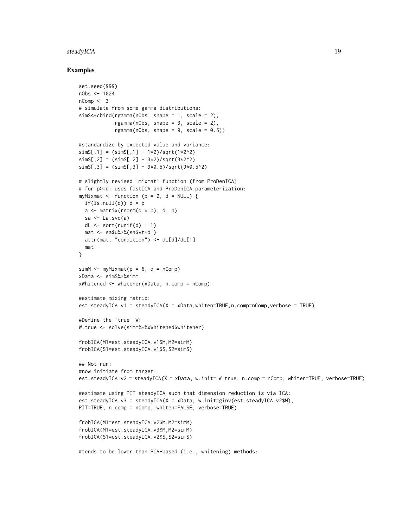#### steadyICA 19

#### Examples

```
set.seed(999)
nObs < -1024nComp <- 3
# simulate from some gamma distributions:
simS<-cbind(rgamma(nObs, shape = 1, scale = 2),
            rgamma(nObs, shape = 3, scale = 2),
            rgamma(nObs, shape = 9, scale = 0.5))
#standardize by expected value and variance:
simS[,1] = (simS[,1] - 1*2)/sqrt(1*2^2)simS[, 2] = (simS[, 2] - 3*2)/sqrt(3*2^2)simS[, 3] = (simS[, 3] - 9*0.5)/sqrt(9*0.5^2)# slightly revised 'mixmat' function (from ProDenICA)
# for p>=d: uses fastICA and ProDenICA parameterization:
myMixmat \le function (p = 2, d = NULL) {
  if(is.null(d)) d = pa \leq matrix(rnorm(d \neq p), d, p)
  sa \leftarrow La.svd(a)dL \le- sort(runif(d) + 1)
  mat <- sa$u%*%(sa$vt*dL)
  attr(mat, "condition") <- dL[d]/dL[1]
  mat
}
sim M \le -myMixmat(p = 6, d = nComp)xData <- simS%*%simM
xWhitened <- whitener(xData, n.comp = nComp)
#estimate mixing matrix:
est.steadyICA.v1 = steadyICA(X = xData,whiten=TRUE,n.comp=nComp,verbose = TRUE)
#Define the 'true' W:
W.true <- solve(simM%*%xWhitened$whitener)
frobICA(M1=est.steadyICA.v1$M,M2=simM)
frobICA(S1=est.steadyICA.v1$S,S2=simS)
## Not run:
#now initiate from target:
est.steadyICA.v2 = steadyICA(X = xData, w.init= W.true, n.comp = nComp, whiten=TRUE, verbose=TRUE)
#estimate using PIT steadyICA such that dimension reduction is via ICA:
est.steadyICA.v3 = steadyICA(X = xData, w.init=ginv(est.steadyICA.v2$M),
PIT=TRUE, n.comp = nComp, whiten=FALSE, verbose=TRUE)
frobICA(M1=est.steadyICA.v2$M,M2=simM)
frobICA(M1=est.steadyICA.v3$M,M2=simM)
frobICA(S1=est.steadyICA.v2$S,S2=simS)
#tends to be lower than PCA-based (i.e., whitening) methods:
```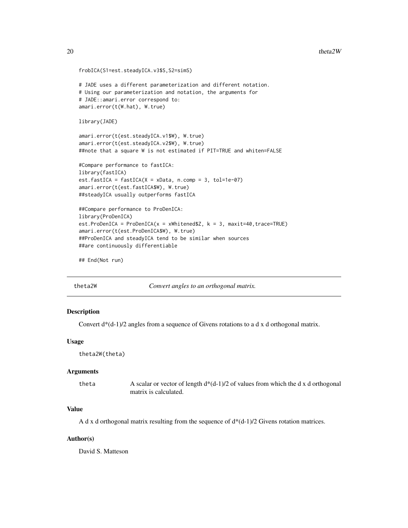```
frobICA(S1=est.steadyICA.v3$S,S2=simS)
# JADE uses a different parameterization and different notation.
# Using our parameterization and notation, the arguments for
# JADE::amari.error correspond to:
amari.error(t(W.hat), W.true)
library(JADE)
amari.error(t(est.steadyICA.v1$W), W.true)
amari.error(t(est.steadyICA.v2$W), W.true)
##note that a square W is not estimated if PIT=TRUE and whiten=FALSE
#Compare performance to fastICA:
library(fastICA)
est.fastICA = fastICA(X = xData, n.comp = 3, tol=1e-07)
amari.error(t(est.fastICA$W), W.true)
##steadyICA usually outperforms fastICA
##Compare performance to ProDenICA:
library(ProDenICA)
est.ProDenICA = ProDenICA(x = xWhitened $Z, k = 3, maxit=40, trace=TRUE)amari.error(t(est.ProDenICA$W), W.true)
##ProDenICA and steadyICA tend to be similar when sources
##are continuously differentiable
```

```
## End(Not run)
```
<span id="page-19-1"></span>theta2W *Convert angles to an orthogonal matrix.*

#### Description

Convert  $d*(d-1)/2$  angles from a sequence of Givens rotations to a d x d orthogonal matrix.

#### Usage

```
theta2W(theta)
```
#### Arguments

theta A scalar or vector of length  $d*(d-1)/2$  of values from which the d x d orthogonal matrix is calculated.

#### Value

A d x d orthogonal matrix resulting from the sequence of  $d^*(d-1)/2$  Givens rotation matrices.

#### Author(s)

David S. Matteson

<span id="page-19-0"></span>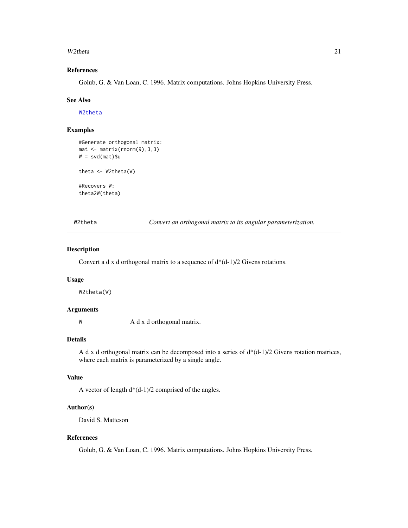#### <span id="page-20-0"></span>W2theta 21

#### References

Golub, G. & Van Loan, C. 1996. Matrix computations. Johns Hopkins University Press.

#### See Also

[W2theta](#page-20-1)

#### Examples

```
#Generate orthogonal matrix:
mat <- matrix(rnorm(9),3,3)
W = svd(mat)$u
theta \leq W2theta(W)
#Recovers W:
theta2W(theta)
```
<span id="page-20-1"></span>W2theta *Convert an orthogonal matrix to its angular parameterization.*

#### Description

Convert a d x d orthogonal matrix to a sequence of  $d*(d-1)/2$  Givens rotations.

#### Usage

W2theta(W)

#### Arguments

W A d x d orthogonal matrix.

#### Details

A d x d orthogonal matrix can be decomposed into a series of d\*(d-1)/2 Givens rotation matrices, where each matrix is parameterized by a single angle.

#### Value

A vector of length  $d*(d-1)/2$  comprised of the angles.

#### Author(s)

David S. Matteson

#### References

Golub, G. & Van Loan, C. 1996. Matrix computations. Johns Hopkins University Press.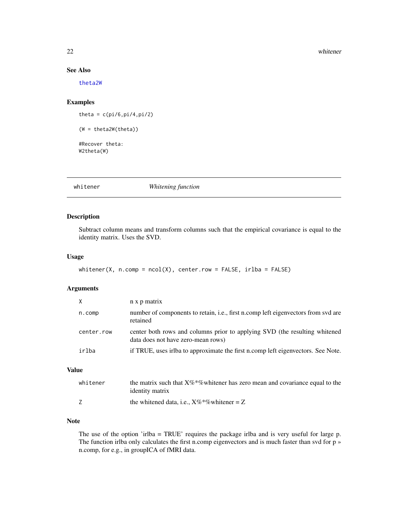#### 22 whitener

#### See Also

[theta2W](#page-19-1)

#### Examples

theta =  $c$ (pi/6,pi/4,pi/2) (W = theta2W(theta)) #Recover theta: W2theta(W)

whitener *Whitening function*

#### Description

Subtract column means and transform columns such that the empirical covariance is equal to the identity matrix. Uses the SVD.

#### Usage

```
whitener(X, n.comp = ncol(X), center.row = FALSE, irlba = FALSE)
```
#### Arguments

| $\times$   | n x p matrix                                                                                                     |
|------------|------------------------------------------------------------------------------------------------------------------|
| n.comp     | number of components to retain, <i>i.e.</i> , first n.comp left eigenvectors from svd are<br>retained            |
| center.row | center both rows and columns prior to applying SVD (the resulting whitened<br>data does not have zero-mean rows) |
| irlba      | if TRUE, uses irlba to approximate the first n.comp left eigenvectors. See Note.                                 |

#### Value

| whitener | the matrix such that $X\%*$ % white the zero mean and covariance equal to the<br><i>identity matrix</i> |
|----------|---------------------------------------------------------------------------------------------------------|
|          | the whitened data, i.e., $X\%*\%$ whitener = Z                                                          |

#### Note

The use of the option 'irlba = TRUE' requires the package irlba and is very useful for large p. The function irlba only calculates the first n.comp eigenvectors and is much faster than svd for p » n.comp, for e.g., in groupICA of fMRI data.

<span id="page-21-0"></span>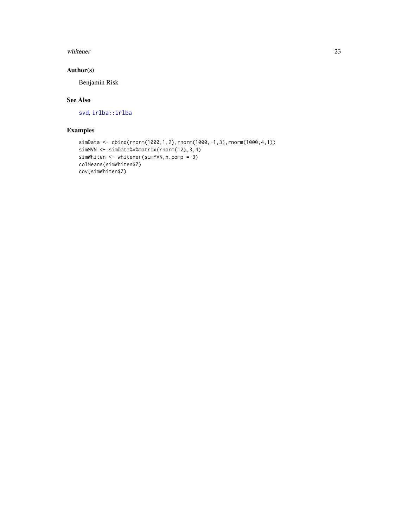#### <span id="page-22-0"></span>whitener 23

#### Author(s)

Benjamin Risk

#### See Also

[svd](#page-0-0), [irlba::irlba](#page-0-0)

#### Examples

```
simData <- cbind(rnorm(1000,1,2),rnorm(1000,-1,3),rnorm(1000,4,1))
simMVN <- simData%*%matrix(rnorm(12),3,4)
simWhiten <- whitener(simMVN,n.comp = 3)
colMeans(simWhiten$Z)
cov(simWhiten$Z)
```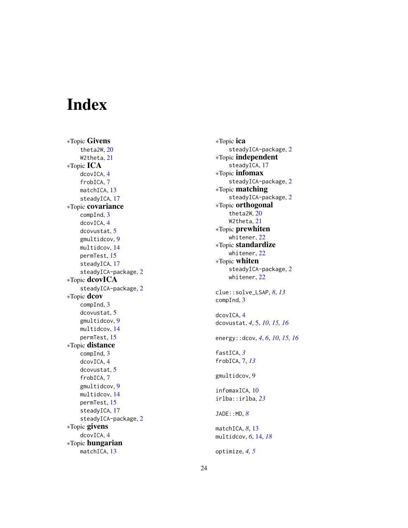# <span id="page-23-0"></span>Index

∗Topic Givens theta2W , [20](#page-19-0) W2theta , [21](#page-20-0) ∗Topic ICA dcovICA , [4](#page-3-0) frobICA , [7](#page-6-0) matchICA, [13](#page-12-0) steadyICA, [17](#page-16-0) ∗Topic covariance compInd , [3](#page-2-0) dcovICA , [4](#page-3-0) dcovustat , [5](#page-4-0) gmultidcov , [9](#page-8-0) multidcov , [14](#page-13-0) permTest , [15](#page-14-0) steadyICA, [17](#page-16-0) steadyICA-package , [2](#page-1-0) ∗Topic dcovICA steadyICA-package , [2](#page-1-0) ∗Topic dcov compInd , [3](#page-2-0) dcovustat , [5](#page-4-0) gmultidcov , [9](#page-8-0) multidcov , [14](#page-13-0) permTest , [15](#page-14-0) ∗Topic distance compInd , [3](#page-2-0) dcovICA , [4](#page-3-0) dcovustat , [5](#page-4-0) frobICA , [7](#page-6-0) gmultidcov , [9](#page-8-0) multidcov , [14](#page-13-0) permTest , [15](#page-14-0) steadyICA, [17](#page-16-0) steadyICA-package , [2](#page-1-0) ∗Topic givens dcovICA , [4](#page-3-0) ∗Topic hungarian matchICA, [13](#page-12-0)

∗Topic ica steadyICA-package , [2](#page-1-0) ∗Topic independent steadyICA, [17](#page-16-0) ∗Topic infomax steadyICA-package , [2](#page-1-0) ∗Topic matching steadyICA-package , [2](#page-1-0) ∗Topic orthogonal theta2W , [20](#page-19-0) W2theta , [21](#page-20-0) ∗Topic prewhiten whitener , [22](#page-21-0) ∗Topic standardize whitener , [22](#page-21-0) ∗Topic whiten steadyICA-package , [2](#page-1-0) whitener , [22](#page-21-0) clue::solve\_LSAP , *[8](#page-7-0)* , *[13](#page-12-0)* compInd , [3](#page-2-0) dcovICA , [4](#page-3-0) dcovustat , *[4](#page-3-0)* , [5](#page-4-0) , *[10](#page-9-0)* , *[15](#page-14-0) , [16](#page-15-0)* energy::dcov , *[4](#page-3-0)* , *[6](#page-5-0)* , *[10](#page-9-0)* , *[15](#page-14-0) , [16](#page-15-0)* fastICA , *[3](#page-2-0)* frobICA , [7](#page-6-0) , *[13](#page-12-0)* gmultidcov , [9](#page-8-0) infomaxICA , [10](#page-9-0) irlba::irlba , *[23](#page-22-0)* JADE::MD , *[8](#page-7-0)* matchICA, [8](#page-7-0), [13](#page-12-0) multidcov , *[6](#page-5-0)* , [14](#page-13-0) , *[18](#page-17-0)* optimize , *[4](#page-3-0) , [5](#page-4-0)*